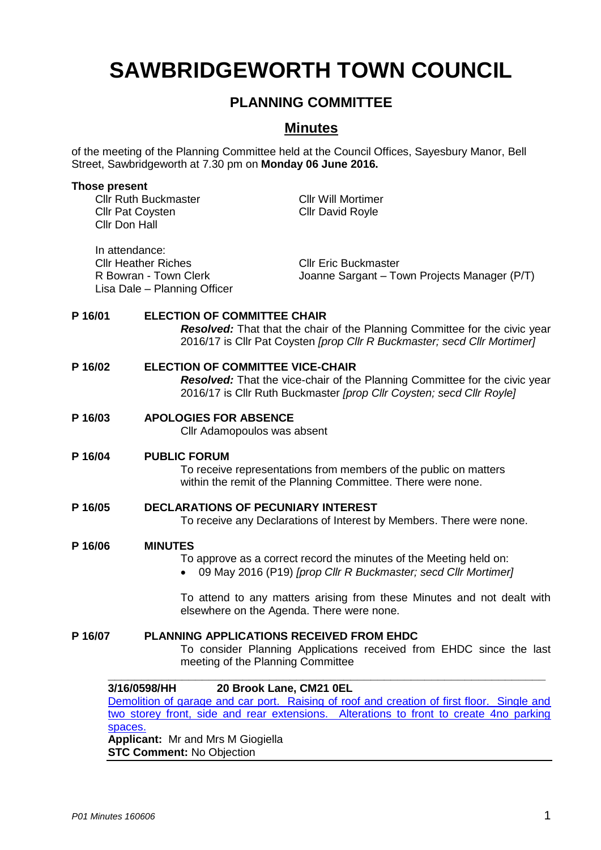# **SAWBRIDGEWORTH TOWN COUNCIL**

# **PLANNING COMMITTEE**

# **Minutes**

of the meeting of the Planning Committee held at the Council Offices, Sayesbury Manor, Bell Street, Sawbridgeworth at 7.30 pm on **Monday 06 June 2016.**

#### **Those present**

Cllr Ruth Buckmaster Cllr Will Mortimer Cllr Pat Coysten Cllr David Royle Cllr Don Hall

In attendance: Cllr Heather Riches Cllr Eric Buckmaster Lisa Dale – Planning Officer

R Bowran - Town Clerk Joanne Sargant – Town Projects Manager (P/T)

# **P 16/01 ELECTION OF COMMITTEE CHAIR**

*Resolved:* That that the chair of the Planning Committee for the civic year 2016/17 is Cllr Pat Coysten *[prop Cllr R Buckmaster; secd Cllr Mortimer]*

#### **P 16/02 ELECTION OF COMMITTEE VICE-CHAIR** *Resolved:* That the vice-chair of the Planning Committee for the civic year 2016/17 is Cllr Ruth Buckmaster *[prop Cllr Coysten; secd Cllr Royle]*

# **P 16/03 APOLOGIES FOR ABSENCE**

Cllr Adamopoulos was absent

# **P 16/04 PUBLIC FORUM**

To receive representations from members of the public on matters within the remit of the Planning Committee. There were none.

**P 16/05 DECLARATIONS OF PECUNIARY INTEREST** To receive any Declarations of Interest by Members. There were none.

#### **P 16/06 MINUTES**

- To approve as a correct record the minutes of the Meeting held on:
- 09 May 2016 (P19) *[prop Cllr R Buckmaster; secd Cllr Mortimer]*

To attend to any matters arising from these Minutes and not dealt with elsewhere on the Agenda. There were none.

# **P 16/07 PLANNING APPLICATIONS RECEIVED FROM EHDC**

To consider Planning Applications received from EHDC since the last meeting of the Planning Committee

# **3/16/0598/HH 20 Brook Lane, CM21 0EL**

[Demolition of garage and car port. Raising of roof and creation of first floor. Single and](https://publicaccess.eastherts.gov.uk/online-applications/applicationDetails.do?activeTab=documents&keyVal=O3Z81GGLJ1M00)  [two storey front, side and rear extensions. Alterations to front to create 4no parking](https://publicaccess.eastherts.gov.uk/online-applications/applicationDetails.do?activeTab=documents&keyVal=O3Z81GGLJ1M00)  [spaces.](https://publicaccess.eastherts.gov.uk/online-applications/applicationDetails.do?activeTab=documents&keyVal=O3Z81GGLJ1M00)

**\_\_\_\_\_\_\_\_\_\_\_\_\_\_\_\_\_\_\_\_\_\_\_\_\_\_\_\_\_\_\_\_\_\_\_\_\_\_\_\_\_\_\_\_\_\_\_\_\_\_\_\_\_\_\_\_\_\_\_\_\_\_\_\_\_**

**Applicant:** Mr and Mrs M Giogiella **STC Comment:** No Objection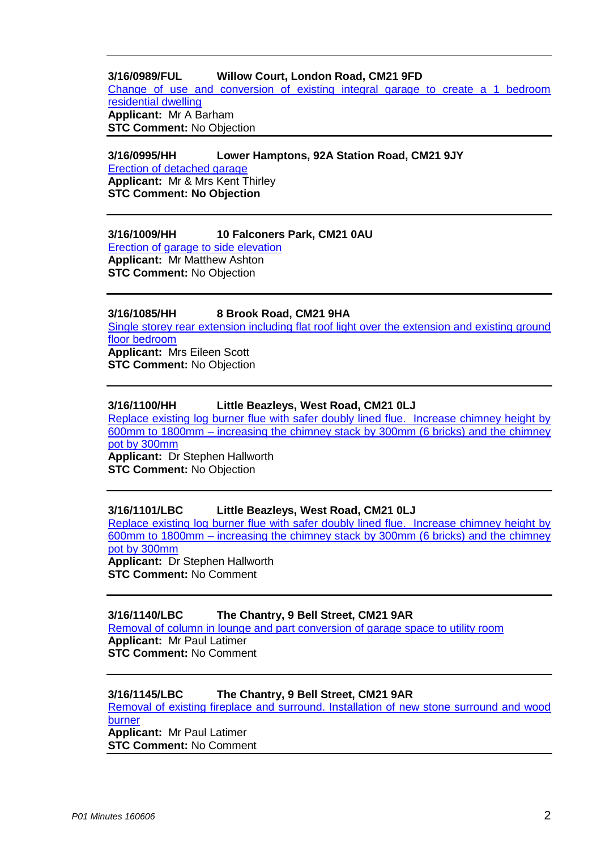# **3/16/0989/FUL Willow Court, London Road, CM21 9FD**

[Change of use and conversion of existing integral garage to create a 1 bedroom](https://publicaccess.eastherts.gov.uk/online-applications/applicationDetails.do?activeTab=summary&keyVal=O68MOFGLJNH00)  [residential dwelling](https://publicaccess.eastherts.gov.uk/online-applications/applicationDetails.do?activeTab=summary&keyVal=O68MOFGLJNH00) **Applicant:** Mr A Barham **STC Comment:** No Objection

**3/16/0995/HH Lower Hamptons, 92A Station Road, CM21 9JY** [Erection of detached garage](https://publicaccess.eastherts.gov.uk/online-applications/applicationDetails.do?activeTab=summary&keyVal=O6AI3YGL00B00) **Applicant:** Mr & Mrs Kent Thirley **STC Comment: No Objection**

# **3/16/1009/HH 10 Falconers Park, CM21 0AU**

[Erection of garage to side elevation](https://publicaccess.eastherts.gov.uk/online-applications/applicationDetails.do?activeTab=summary&keyVal=O6CN3PGLJO200) **Applicant:** Mr Matthew Ashton **STC Comment:** No Objection

# **3/16/1085/HH 8 Brook Road, CM21 9HA**

[Single storey rear extension including flat roof light over the extension and existing ground](https://publicaccess.eastherts.gov.uk/online-applications/applicationDetails.do?activeTab=summary&keyVal=O6YV47GLJT100)  [floor bedroom](https://publicaccess.eastherts.gov.uk/online-applications/applicationDetails.do?activeTab=summary&keyVal=O6YV47GLJT100) **Applicant:** Mrs Eileen Scott **STC Comment:** No Objection

# **3/16/1100/HH Little Beazleys, West Road, CM21 0LJ**

[Replace existing log burner flue with safer doubly lined flue. Increase chimney height by](https://publicaccess.eastherts.gov.uk/online-applications/applicationDetails.do?activeTab=summary&keyVal=O70PRUGLJTO00)  600mm to 1800mm – [increasing the chimney stack by 300mm \(6 bricks\) and the chimney](https://publicaccess.eastherts.gov.uk/online-applications/applicationDetails.do?activeTab=summary&keyVal=O70PRUGLJTO00)  [pot by 300mm](https://publicaccess.eastherts.gov.uk/online-applications/applicationDetails.do?activeTab=summary&keyVal=O70PRUGLJTO00) **Applicant:** Dr Stephen Hallworth **STC Comment:** No Objection

# **3/16/1101/LBC Little Beazleys, West Road, CM21 0LJ**

[Replace existing log burner flue with safer doubly lined flue. Increase chimney height by](https://publicaccess.eastherts.gov.uk/online-applications/applicationDetails.do?activeTab=summary&keyVal=O70PRZGLJTP00)  600mm to 1800mm – [increasing the chimney stack by 300mm \(6 bricks\) and the chimney](https://publicaccess.eastherts.gov.uk/online-applications/applicationDetails.do?activeTab=summary&keyVal=O70PRZGLJTP00)  [pot by 300mm](https://publicaccess.eastherts.gov.uk/online-applications/applicationDetails.do?activeTab=summary&keyVal=O70PRZGLJTP00) **Applicant:** Dr Stephen Hallworth **STC Comment:** No Comment

# **3/16/1140/LBC The Chantry, 9 Bell Street, CM21 9AR**

[Removal of column in lounge and part conversion of garage space to utility room](https://publicaccess.eastherts.gov.uk/online-applications/applicationDetails.do?activeTab=summary&keyVal=O7B7IFGLJVO00) **Applicant:** Mr Paul Latimer **STC Comment:** No Comment

# **3/16/1145/LBC The Chantry, 9 Bell Street, CM21 9AR**

Removal of existing fireplace [and surround. Installation of new stone surround and wood](https://publicaccess.eastherts.gov.uk/online-applications/applicationDetails.do?activeTab=summary&keyVal=O7BINOGLJVT00)  [burner](https://publicaccess.eastherts.gov.uk/online-applications/applicationDetails.do?activeTab=summary&keyVal=O7BINOGLJVT00) **Applicant:** Mr Paul Latimer **STC Comment:** No Comment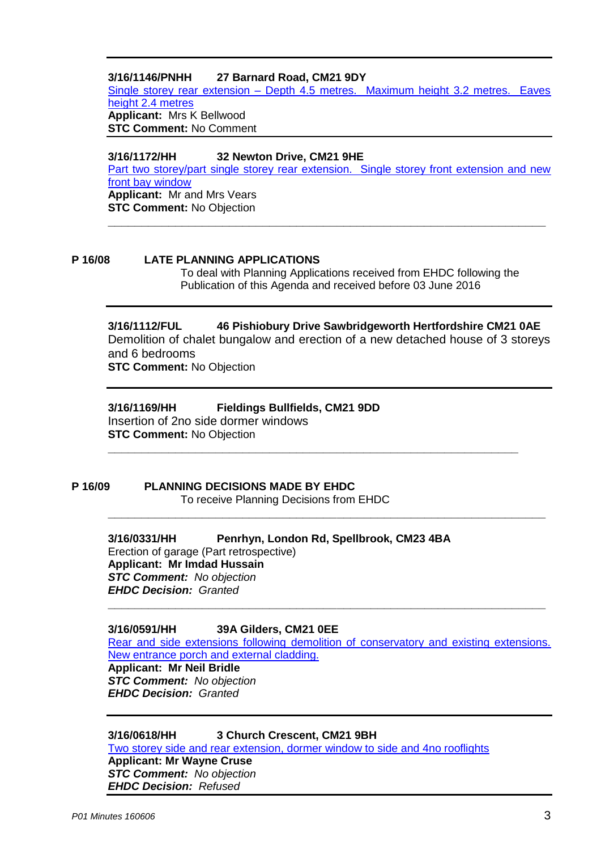# **3/16/1146/PNHH 27 Barnard Road, CM21 9DY**

Single storey rear extension – [Depth 4.5 metres. Maximum height 3.2 metres. Eaves](https://publicaccess.eastherts.gov.uk/online-applications/applicationDetails.do?activeTab=summary&keyVal=O7BLJGGL00X00)  [height 2.4 metres](https://publicaccess.eastherts.gov.uk/online-applications/applicationDetails.do?activeTab=summary&keyVal=O7BLJGGL00X00) **Applicant:** Mrs K Bellwood **STC Comment:** No Comment

**3/16/1172/HH 32 Newton Drive, CM21 9HE** [Part two storey/part single storey rear extension. Single storey front extension and new](https://publicaccess.eastherts.gov.uk/online-applications/applicationDetails.do?activeTab=summary&keyVal=O7HDRCGLJXY00)  [front bay window](https://publicaccess.eastherts.gov.uk/online-applications/applicationDetails.do?activeTab=summary&keyVal=O7HDRCGLJXY00) **Applicant:** Mr and Mrs Vears **STC Comment:** No Objection **\_\_\_\_\_\_\_\_\_\_\_\_\_\_\_\_\_\_\_\_\_\_\_\_\_\_\_\_\_\_\_\_\_\_\_\_\_\_\_\_\_\_\_\_\_\_\_\_\_\_\_\_\_\_\_\_\_\_\_\_\_\_\_\_\_**

#### **P 16/08 LATE PLANNING APPLICATIONS**

To deal with Planning Applications received from EHDC following the Publication of this Agenda and received before 03 June 2016

**3/16/1112/FUL 46 Pishiobury Drive Sawbridgeworth Hertfordshire CM21 0AE** Demolition of chalet bungalow and erection of a new detached house of 3 storeys and 6 bedrooms **STC Comment:** No Objection

**\_\_\_\_\_\_\_\_\_\_\_\_\_\_\_\_\_\_\_\_\_\_\_\_\_\_\_\_\_\_\_\_\_\_\_\_\_\_\_\_\_\_\_\_\_\_\_\_\_\_\_\_\_\_\_\_\_\_\_\_\_**

**\_\_\_\_\_\_\_\_\_\_\_\_\_\_\_\_\_\_\_\_\_\_\_\_\_\_\_\_\_\_\_\_\_\_\_\_\_\_\_\_\_\_\_\_\_\_\_\_\_\_\_\_\_\_\_\_\_\_\_\_\_\_\_\_\_**

# **3/16/1169/HH Fieldings Bullfields, CM21 9DD**

Insertion of 2no side dormer windows **STC Comment:** No Objection

#### **P 16/09 PLANNING DECISIONS MADE BY EHDC** To receive Planning Decisions from EHDC

**3/16/0331/HH Penrhyn, London Rd, Spellbrook, CM23 4BA** Erection of garage (Part retrospective) **Applicant: Mr Imdad Hussain** *STC Comment: No objection EHDC Decision: Granted*

**3/16/0591/HH 39A Gilders, CM21 0EE**

[Rear and side extensions following demolition of conservatory and existing extensions.](https://publicaccess.eastherts.gov.uk/online-applications/applicationDetails.do?activeTab=summary&keyVal=O3VTX2GLJ1300)  [New entrance porch and external cladding.](https://publicaccess.eastherts.gov.uk/online-applications/applicationDetails.do?activeTab=summary&keyVal=O3VTX2GLJ1300) **Applicant: Mr Neil Bridle** *STC Comment: No objection EHDC Decision: Granted*

**\_\_\_\_\_\_\_\_\_\_\_\_\_\_\_\_\_\_\_\_\_\_\_\_\_\_\_\_\_\_\_\_\_\_\_\_\_\_\_\_\_\_\_\_\_\_\_\_\_\_\_\_\_\_\_\_\_\_\_\_\_\_\_\_\_**

**3/16/0618/HH 3 Church Crescent, CM21 9BH**

[Two storey side and rear extension, dormer window to side and 4no rooflights](https://publicaccess.eastherts.gov.uk/online-applications/applicationDetails.do?activeTab=summary&keyVal=O44GYDGLJ2H00) **Applicant: Mr Wayne Cruse** *STC Comment: No objection EHDC Decision: Refused*